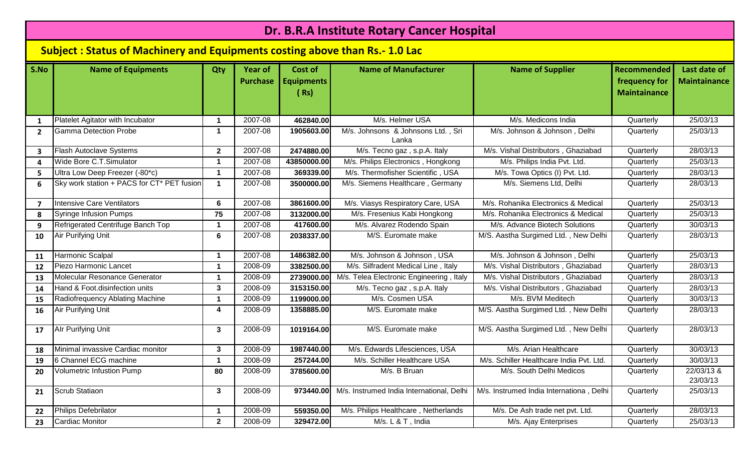| Dr. B.R.A Institute Rotary Cancer Hospital |                                                                                    |              |                                   |                                      |                                             |                                          |                                                            |                                     |  |  |
|--------------------------------------------|------------------------------------------------------------------------------------|--------------|-----------------------------------|--------------------------------------|---------------------------------------------|------------------------------------------|------------------------------------------------------------|-------------------------------------|--|--|
|                                            | <b>Subject: Status of Machinery and Equipments costing above than Rs.- 1.0 Lac</b> |              |                                   |                                      |                                             |                                          |                                                            |                                     |  |  |
| S.No                                       | <b>Name of Equipments</b>                                                          | Qty          | <b>Year of</b><br><b>Purchase</b> | Cost of<br><b>Equipments</b><br>(Rs) | <b>Name of Manufacturer</b>                 | <b>Name of Supplier</b>                  | <b>Recommended</b><br>frequency for<br><b>Maintainance</b> | Last date of<br><b>Maintainance</b> |  |  |
| 1                                          | Platelet Agitator with Incubator                                                   | -1           | 2007-08                           | 462840.00                            | M/s. Helmer USA                             | M/s. Medicons India                      | Quarterly                                                  | 25/03/13                            |  |  |
| $\overline{2}$                             | <b>Gamma Detection Probe</b>                                                       | -1           | 2007-08                           | 1905603.00                           | M/s. Johnsons & Johnsons Ltd., Sri<br>Lanka | M/s. Johnson & Johnson, Delhi            | Quarterly                                                  | 25/03/13                            |  |  |
| $\overline{\mathbf{3}}$                    | <b>Flash Autoclave Systems</b>                                                     | $\mathbf{2}$ | 2007-08                           | 2474880.00                           | M/s. Tecno gaz, s.p.A. Italy                | M/s. Vishal Distributors, Ghaziabad      | Quarterly                                                  | 28/03/13                            |  |  |
| 4                                          | Wide Bore C.T.Simulator                                                            |              | 2007-08                           | 43850000.00                          | M/s. Philips Electronics, Hongkong          | M/s. Philips India Pvt. Ltd.             | Quarterly                                                  | 25/03/13                            |  |  |
| 5                                          | Ultra Low Deep Freezer (-80*c)                                                     | -1           | 2007-08                           | 369339.00                            | M/s. Thermofisher Scientific, USA           | M/s. Towa Optics (I) Pvt. Ltd.           | Quarterly                                                  | 28/03/13                            |  |  |
| 6                                          | Sky work station + PACS for CT* PET fusion                                         | -1           | 2007-08                           | 3500000.00                           | M/s. Siemens Healthcare, Germany            | M/s. Siemens Ltd, Delhi                  | Quarterly                                                  | 28/03/13                            |  |  |
| $\overline{7}$                             | <b>Intensive Care Ventilators</b>                                                  | 6            | 2007-08                           | 3861600.00                           | M/s. Viasys Respiratory Care, USA           | M/s. Rohanika Electronics & Medical      | Quarterly                                                  | 25/03/13                            |  |  |
| 8                                          | <b>Syringe Infusion Pumps</b>                                                      | 75           | 2007-08                           | 3132000.00                           | M/s. Fresenius Kabi Hongkong                | M/s. Rohanika Electronics & Medical      | Quarterly                                                  | 25/03/13                            |  |  |
| 9                                          | Refrigerated Centrifuge Banch Top                                                  | -1           | 2007-08                           | 417600.00                            | M/s. Alvarez Rodendo Spain                  | M/s. Advance Biotech Solutions           | Quarterly                                                  | 30/03/13                            |  |  |
| 10                                         | Air Purifying Unit                                                                 | 6            | 2007-08                           | 2038337.00                           | M/S. Euromate make                          | M/S. Aastha Surgimed Ltd., New Delhi     | Quarterly                                                  | 28/03/13                            |  |  |
| 11                                         | Harmonic Scalpal                                                                   | -1           | 2007-08                           | 1486382.00                           | M/s. Johnson & Johnson, USA                 | M/s. Johnson & Johnson, Delhi            | Quarterly                                                  | 25/03/13                            |  |  |
| 12                                         | Piezo Harmonic Lancet                                                              | -1           | 2008-09                           | 3382500.00                           | M/s. Silfradent Medical Line, Italy         | M/s. Vishal Distributors, Ghaziabad      | Quarterly                                                  | 28/03/13                            |  |  |
| 13                                         | Molecular Resonance Generator                                                      | $\mathbf 1$  | 2008-09                           | 2739000.00                           | M/s. Telea Electronic Engineering, Italy    | M/s. Vishal Distributors, Ghaziabad      | Quarterly                                                  | 28/03/13                            |  |  |
| 14                                         | Hand & Foot.disinfection units                                                     | 3            | 2008-09                           | 3153150.00                           | M/s. Tecno gaz, s.p.A. Italy                | M/s. Vishal Distributors, Ghaziabad      | Quarterly                                                  | 28/03/13                            |  |  |
| 15                                         | Radiofrequency Ablating Machine                                                    | -1           | 2008-09                           | 1199000.00                           | M/s. Cosmen USA                             | M/s. BVM Meditech                        | Quarterly                                                  | 30/03/13                            |  |  |
| 16                                         | Air Purifying Unit                                                                 | Δ            | 2008-09                           | 1358885.00                           | M/S. Euromate make                          | M/S. Aastha Surgimed Ltd., New Delhi     | Quarterly                                                  | 28/03/13                            |  |  |
| 17                                         | Alr Purifying Unit                                                                 | 3            | 2008-09                           | 1019164.00                           | M/S. Euromate make                          | M/S. Aastha Surgimed Ltd., New Delhi     | Quarterly                                                  | 28/03/13                            |  |  |
| 18                                         | Minimal invassive Cardiac monitor                                                  | 3            | 2008-09                           | 1987440.00                           | M/s. Edwards Lifesciences, USA              | M/s. Arian Healthcare                    | Quarterly                                                  | 30/03/13                            |  |  |
| 19                                         | 6 Channel ECG machine                                                              | -1           | 2008-09                           | 257244.00                            | M/s. Schiller Healthcare USA                | M/s. Schiller Healthcare India Pvt. Ltd. | Quarterly                                                  | 30/03/13                            |  |  |
| 20                                         | <b>Volumetric Infustion Pump</b>                                                   | 80           | 2008-09                           | 3785600.00                           | M/s. B Bruan                                | M/s. South Delhi Medicos                 | Quarterly                                                  | 22/03/13 &<br>23/03/13              |  |  |
| 21                                         | Scrub Statiaon                                                                     | $\mathbf{3}$ | 2008-09                           | 973440.00                            | M/s. Instrumed India International, Delhi   | M/s. Instrumed India Internationa, Delhi | Quarterly                                                  | 25/03/13                            |  |  |
| 22                                         | Philips Defebrilator                                                               | -1           | 2008-09                           | 559350.00                            | M/s. Philips Healthcare, Netherlands        | M/s. De Ash trade net pvt. Ltd.          | Quarterly                                                  | 28/03/13                            |  |  |
| 23                                         | Cardiac Monitor                                                                    | $\mathbf{2}$ | 2008-09                           | 329472.00                            | M/s. L & T, India                           | M/s. Ajay Enterprises                    | Quarterly                                                  | 25/03/13                            |  |  |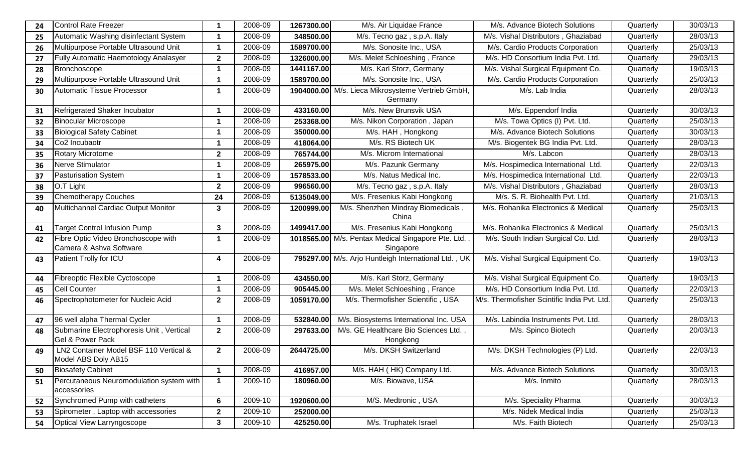| 24 | <b>Control Rate Freezer</b>                                    |                      | 2008-09 | 1267300.00 | M/s. Air Liquidae France                                        | M/s. Advance Biotech Solutions              | Quarterly | 30/03/13 |
|----|----------------------------------------------------------------|----------------------|---------|------------|-----------------------------------------------------------------|---------------------------------------------|-----------|----------|
| 25 | Automatic Washing disinfectant System                          | -1                   | 2008-09 | 348500.00  | M/s. Tecno gaz, s.p.A. Italy                                    | M/s. Vishal Distributors, Ghaziabad         | Quarterly | 28/03/13 |
| 26 | Multipurpose Portable Ultrasound Unit                          |                      | 2008-09 | 1589700.00 | M/s. Sonosite Inc., USA                                         | M/s. Cardio Products Corporation            | Quarterly | 25/03/13 |
| 27 | Fully Automatic Haemotology Analasyer                          | $\mathbf{2}$         | 2008-09 | 1326000.00 | M/s. Melet Schloeshing, France                                  | M/s. HD Consortium India Pvt. Ltd.          | Quarterly | 29/03/13 |
| 28 | <b>Bronchoscope</b>                                            | -1                   | 2008-09 | 1441167.00 | M/s. Karl Storz, Germany                                        | M/s. Vishal Surgical Equipment Co.          | Quarterly | 19/03/13 |
| 29 | Multipurpose Portable Ultrasound Unit                          | -1                   | 2008-09 | 1589700.00 | M/s. Sonosite Inc., USA                                         | M/s. Cardio Products Corporation            | Quarterly | 25/03/13 |
| 30 | Automatic Tissue Processor                                     | -1                   | 2008-09 |            | 1904000.00 M/s. Lieca Mikrosysteme Vertrieb GmbH,<br>Germany    | M/s. Lab India                              | Quarterly | 28/03/13 |
| 31 | Refrigerated Shaker Incubator                                  |                      | 2008-09 | 433160.00  | M/s. New Brunsvik USA                                           | M/s. Eppendorf India                        | Quarterly | 30/03/13 |
| 32 | <b>Binocular Microscope</b>                                    | -1                   | 2008-09 | 253368.00  | M/s. Nikon Corporation, Japan                                   | M/s. Towa Optics (I) Pvt. Ltd.              | Quarterly | 25/03/13 |
| 33 | <b>Biological Safety Cabinet</b>                               | -1                   | 2008-09 | 350000.00  | M/s. HAH, Hongkong                                              | M/s. Advance Biotech Solutions              | Quarterly | 30/03/13 |
| 34 | Co <sub>2</sub> Incubaotr                                      | -1                   | 2008-09 | 418064.00  | M/s. RS Biotech UK                                              | M/s. Biogentek BG India Pvt. Ltd.           | Quarterly | 28/03/13 |
| 35 | <b>Rotary Microtome</b>                                        | $\mathbf{2}$         | 2008-09 | 765744.00  | M/s. Microm International                                       | M/s. Labcon                                 | Quarterly | 28/03/13 |
| 36 | Nerve Stimulator                                               | -1                   | 2008-09 | 265975.00  | M/s. Pazunk Germany                                             | M/s. Hospimedica International Ltd.         | Quarterly | 22/03/13 |
| 37 | <b>Pasturisation System</b>                                    | -1                   | 2008-09 | 1578533.00 | M/s. Natus Medical Inc.                                         | M/s. Hospimedica International Ltd.         | Quarterly | 22/03/13 |
| 38 | O.T Light                                                      | $\mathbf{2}$         | 2008-09 | 996560.00  | M/s. Tecno gaz, s.p.A. Italy                                    | M/s. Vishal Distributors, Ghaziabad         | Quarterly | 28/03/13 |
| 39 | <b>Chemotherapy Couches</b>                                    | 24                   | 2008-09 | 5135049.00 | M/s. Fresenius Kabi Hongkong                                    | M/s. S. R. Biohealth Pvt. Ltd.              | Quarterly | 21/03/13 |
| 40 | Multichannel Cardiac Output Monitor                            | 3                    | 2008-09 | 1200999.00 | M/s. Shenzhen Mindray Biomedicals,<br>China                     | M/s. Rohanika Electronics & Medical         | Quarterly | 25/03/13 |
| 41 | Target Control Infusion Pump                                   | $\mathbf{3}$         | 2008-09 | 1499417.00 | M/s. Fresenius Kabi Hongkong                                    | M/s. Rohanika Electronics & Medical         | Quarterly | 25/03/13 |
| 42 | Fibre Optic Video Bronchoscope with<br>Camera & Ashva Software | -1                   | 2008-09 |            | 1018565.00 M/s. Pentax Medical Singapore Pte. Ltd.<br>Singapore | M/s. South Indian Surgical Co. Ltd.         | Quarterly | 28/03/13 |
| 43 | Patient Trolly for ICU                                         | 4                    | 2008-09 |            | 795297.00 M/s. Arjo Huntleigh International Ltd., UK            | M/s. Vishal Surgical Equipment Co.          | Quarterly | 19/03/13 |
| 44 | Fibreoptic Flexible Cyctoscope                                 | -1                   | 2008-09 | 434550.00  | M/s. Karl Storz, Germany                                        | M/s. Vishal Surgical Equipment Co.          | Quarterly | 19/03/13 |
| 45 | <b>Cell Counter</b>                                            | -1                   | 2008-09 | 905445.00  | M/s. Melet Schloeshing, France                                  | M/s. HD Consortium India Pvt. Ltd.          | Quarterly | 22/03/13 |
| 46 | Spectrophotometer for Nucleic Acid                             | $\mathbf{2}$         | 2008-09 | 1059170.00 | M/s. Thermofisher Scientific, USA                               | M/s. Thermofisher Scintific India Pvt. Ltd. | Quarterly | 25/03/13 |
| 47 | 96 well alpha Thermal Cycler                                   | $\mathbf 1$          | 2008-09 | 532840.00  | M/s. Biosystems International Inc. USA                          | M/s. Labindia Instruments Pvt. Ltd.         | Quarterly | 28/03/13 |
| 48 | Submarine Electrophoresis Unit, Vertical<br>Gel & Power Pack   | $\mathbf{2}$         | 2008-09 | 297633.00  | M/s. GE Healthcare Bio Sciences Ltd.,<br>Hongkong               | M/s. Spinco Biotech                         | Quarterly | 20/03/13 |
| 49 | LN2 Container Model BSF 110 Vertical &<br>Model ABS Doly AB15  | $\mathbf{2}$         | 2008-09 | 2644725.00 | M/s. DKSH Switzerland                                           | M/s. DKSH Technologies (P) Ltd.             | Quarterly | 22/03/13 |
| 50 | <b>Biosafety Cabinet</b>                                       |                      | 2008-09 | 416957.00  | M/s. HAH ( HK) Company Ltd.                                     | M/s. Advance Biotech Solutions              | Quarterly | 30/03/13 |
| 51 | Percutaneous Neuromodulation system with<br>accessories        | $\blacktriangleleft$ | 2009-10 | 180960.00  | M/s. Biowave, USA                                               | M/s. Inmito                                 | Quarterly | 28/03/13 |
| 52 | Synchromed Pump with catheters                                 | 6                    | 2009-10 | 1920600.00 | M/S. Medtronic, USA                                             | M/s. Speciality Pharma                      | Quarterly | 30/03/13 |
| 53 | Spirometer, Laptop with accessories                            | $\mathbf{2}$         | 2009-10 | 252000.00  |                                                                 | M/s. Nidek Medical India                    | Quarterly | 25/03/13 |
| 54 | Optical View Larryngoscope                                     | $\mathbf{3}$         | 2009-10 | 425250.00  | M/s. Truphatek Israel                                           | M/s. Faith Biotech                          | Quarterly | 25/03/13 |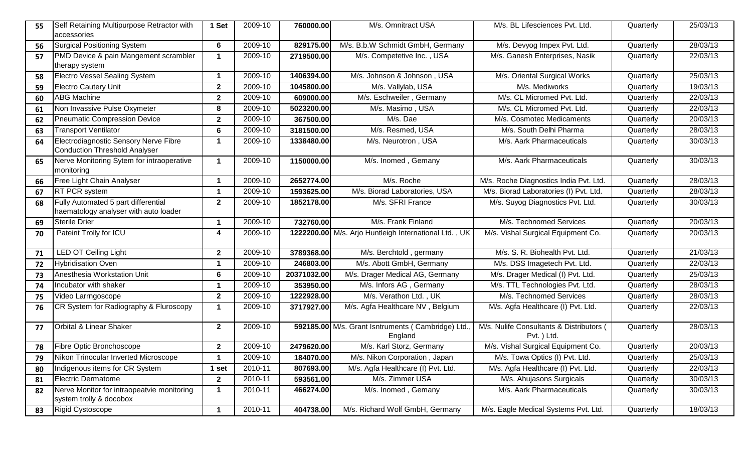| 55 | Self Retaining Multipurpose Retractor with<br>accessories                     | 1 Set                | 2009-10 | 760000.00   | M/s. Omnitract USA                                           | M/s. BL Lifesciences Pvt. Ltd.                          | Quarterly | 25/03/13 |
|----|-------------------------------------------------------------------------------|----------------------|---------|-------------|--------------------------------------------------------------|---------------------------------------------------------|-----------|----------|
| 56 | Surgical Positioning System                                                   | 6                    | 2009-10 | 829175.00   | M/s. B.b.W Schmidt GmbH, Germany                             | M/s. Devyog Impex Pvt. Ltd.                             | Quarterly | 28/03/13 |
| 57 | PMD Device & pain Mangement scrambler<br>therapy system                       | $\blacktriangleleft$ | 2009-10 | 2719500.00  | M/s. Competetive Inc., USA                                   | M/s. Ganesh Enterprises, Nasik                          | Quarterly | 22/03/13 |
| 58 | <b>Electro Vessel Sealing System</b>                                          | $\mathbf 1$          | 2009-10 | 1406394.00  | M/s. Johnson & Johnson, USA                                  | M/s. Oriental Surgical Works                            | Quarterly | 25/03/13 |
| 59 | <b>Electro Cautery Unit</b>                                                   | $\mathbf{2}$         | 2009-10 | 1045800.00  | M/s. Vallylab, USA                                           | M/s. Mediworks                                          | Quarterly | 19/03/13 |
| 60 | <b>ABG Machine</b>                                                            | $\mathbf{2}$         | 2009-10 | 609000.00   | M/s. Eschweiler, Germany                                     | M/s. CL Micromed Pvt. Ltd.                              | Quarterly | 22/03/13 |
| 61 | Non Invassive Pulse Oxymeter                                                  | 8                    | 2009-10 | 5023200.00  | M/s. Masimo, USA                                             | M/s. CL Micromed Pvt. Ltd.                              | Quarterly | 22/03/13 |
| 62 | <b>Pneumatic Compression Device</b>                                           | $\mathbf{2}$         | 2009-10 | 367500.00   | M/s. Dae                                                     | M/s. Cosmotec Medicaments                               | Quarterly | 20/03/13 |
| 63 | <b>Transport Ventilator</b>                                                   | 6                    | 2009-10 | 3181500.00  | M/s. Resmed, USA                                             | M/s. South Delhi Pharma                                 | Quarterly | 28/03/13 |
| 64 | Electrodiagnostic Sensory Nerve Fibre<br><b>Conduction Threshold Analyser</b> | 1                    | 2009-10 | 1338480.00  | M/s. Neurotron, USA                                          | M/s. Aark Pharmaceuticals                               | Quarterly | 30/03/13 |
| 65 | Nerve Monitoring Sytem for intraoperative<br>monitoring                       | $\mathbf 1$          | 2009-10 | 1150000.00  | M/s. Inomed, Gemany                                          | M/s. Aark Pharmaceuticals                               | Quarterly | 30/03/13 |
| 66 | <b>Free Light Chain Analyser</b>                                              | 1                    | 2009-10 | 2652774.00  | M/s. Roche                                                   | M/s. Roche Diagnostics India Pvt. Ltd.                  | Quarterly | 28/03/13 |
| 67 | <b>RT PCR system</b>                                                          | $\mathbf 1$          | 2009-10 | 1593625.00  | M/s. Biorad Laboratories, USA                                | M/s. Biorad Laboratories (I) Pvt. Ltd.                  | Quarterly | 28/03/13 |
| 68 | Fully Automated 5 part differential<br>haematology analyser with auto loader  | $\mathbf{2}$         | 2009-10 | 1852178.00  | M/s. SFRI France                                             | M/s. Suyog Diagnostics Pvt. Ltd.                        | Quarterly | 30/03/13 |
| 69 | Sterile Drier                                                                 | -1                   | 2009-10 | 732760.00   | M/s. Frank Finland                                           | M/s. Technomed Services                                 | Quarterly | 20/03/13 |
| 70 | Pateint Trolly for ICU                                                        | 4                    | 2009-10 |             | 1222200.00 M/s. Arjo Huntleigh International Ltd., UK        | M/s. Vishal Surgical Equipment Co.                      | Quarterly | 20/03/13 |
| 71 | <b>LED OT Ceiling Light</b>                                                   | $\mathbf{2}$         | 2009-10 | 3789368.00  | M/s. Berchtold, germany                                      | M/s. S. R. Biohealth Pvt. Ltd.                          | Quarterly | 21/03/13 |
| 72 | <b>Hybridisation Oven</b>                                                     | 1                    | 2009-10 | 246803.00   | M/s. Abott GmbH, Germany                                     | M/s. DSS Imagetech Pvt. Ltd.                            | Quarterly | 22/03/13 |
| 73 | Anesthesia Workstation Unit                                                   | 6                    | 2009-10 | 20371032.00 | M/s. Drager Medical AG, Germany                              | M/s. Drager Medical (I) Pvt. Ltd.                       | Quarterly | 25/03/13 |
| 74 | Incubator with shaker                                                         | $\blacktriangleleft$ | 2009-10 | 353950.00   | M/s. Infors AG, Germany                                      | M/s. TTL Technologies Pvt. Ltd.                         | Quarterly | 28/03/13 |
| 75 | Video Larrngoscope                                                            | $\mathbf{2}$         | 2009-10 | 1222928.00  | M/s. Verathon Ltd., UK                                       | M/s. Technomed Services                                 | Quarterly | 28/03/13 |
| 76 | CR System for Radiography & Fluroscopy                                        | 1                    | 2009-10 | 3717927.00  | M/s. Agfa Healthcare NV, Belgium                             | M/s. Agfa Healthcare (I) Pvt. Ltd.                      | Quarterly | 22/03/13 |
| 77 | Orbital & Linear Shaker                                                       | $\mathbf{2}$         | 2009-10 |             | 592185.00 M/s. Grant Isntruments (Cambridge) Ltd.<br>England | M/s. Nulife Consultants & Distributors (<br>Pvt. ) Ltd. | Quarterly | 28/03/13 |
| 78 | Fibre Optic Bronchoscope                                                      | $\mathbf{2}$         | 2009-10 | 2479620.00  | M/s. Karl Storz, Germany                                     | M/s. Vishal Surgical Equipment Co.                      | Quarterly | 20/03/13 |
| 79 | Nikon Trinocular Inverted Microscope                                          |                      | 2009-10 | 184070.00   | M/s. Nikon Corporation, Japan                                | M/s. Towa Optics (I) Pvt. Ltd.                          | Quarterly | 25/03/13 |
| 80 | Indigenous items for CR System                                                | 1 set                | 2010-11 | 807693.00   | M/s. Agfa Healthcare (I) Pvt. Ltd.                           | M/s. Agfa Healthcare (I) Pvt. Ltd.                      | Quarterly | 22/03/13 |
| 81 | Electric Dermatome                                                            | $\mathbf{2}$         | 2010-11 | 593561.00   | M/s. Zimmer USA                                              | M/s. Ahujasons Surgicals                                | Quarterly | 30/03/13 |
| 82 | Nerve Monitor for intraopeatvie monitoring<br>system trolly & docobox         | 1                    | 2010-11 | 466274.00   | M/s. Inomed, Gemany                                          | M/s. Aark Pharmaceuticals                               | Quarterly | 30/03/13 |
| 83 | Rigid Cystoscope                                                              | 1                    | 2010-11 | 404738.00   | M/s. Richard Wolf GmbH, Germany                              | M/s. Eagle Medical Systems Pvt. Ltd.                    | Quarterly | 18/03/13 |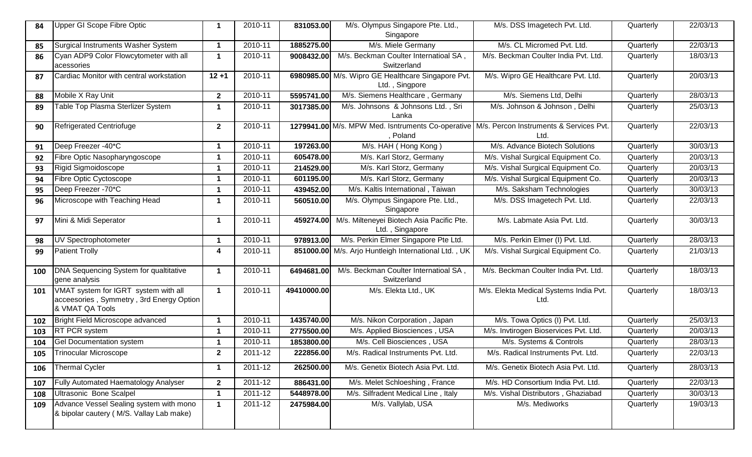| 84  | Upper GI Scope Fibre Optic                                                                          | $\mathbf 1$          | 2010-11 | 831053.00   | M/s. Olympus Singapore Pte. Ltd.,<br>Singapore                                                      | M/s. DSS Imagetech Pvt. Ltd.                   | Quarterly | 22/03/13 |
|-----|-----------------------------------------------------------------------------------------------------|----------------------|---------|-------------|-----------------------------------------------------------------------------------------------------|------------------------------------------------|-----------|----------|
| 85  | Surgical Instruments Washer System                                                                  | $\blacktriangleleft$ | 2010-11 | 1885275.00  | M/s. Miele Germany                                                                                  | M/s. CL Micromed Pvt. Ltd.                     | Quarterly | 22/03/13 |
| 86  | Cyan ADP9 Color Flowcytometer with all<br>acessories                                                | $\blacktriangleleft$ | 2010-11 | 9008432.00  | M/s. Beckman Coulter Internatioal SA,<br>Switzerland                                                | M/s. Beckman Coulter India Pvt. Ltd.           | Quarterly | 18/03/13 |
| 87  | Cardiac Monitor with central workstation                                                            | $12 + 1$             | 2010-11 |             | 6980985.00 M/s. Wipro GE Healthcare Singapore Pvt.<br>Ltd., Singpore                                | M/s. Wipro GE Healthcare Pvt. Ltd.             | Quarterly | 20/03/13 |
| 88  | Mobile X Ray Unit                                                                                   | $\mathbf{2}$         | 2010-11 | 5595741.00  | M/s. Siemens Healthcare, Germany                                                                    | M/s. Siemens Ltd, Delhi                        | Quarterly | 28/03/13 |
| 89  | Table Top Plasma Sterlizer System                                                                   | 1                    | 2010-11 | 3017385.00  | M/s. Johnsons & Johnsons Ltd., Sri<br>Lanka                                                         | M/s. Johnson & Johnson, Delhi                  | Quarterly | 25/03/13 |
| 90  | Refrigerated Centriofuge                                                                            | $\mathbf{2}$         | 2010-11 |             | 1279941.00 M/s. MPW Med. Isntruments Co-operative M/s. Percon Instruments & Services Pvt.<br>Poland | Ltd.                                           | Quarterly | 22/03/13 |
| 91  | Deep Freezer -40 <sup>*</sup> C                                                                     | 1                    | 2010-11 | 197263.00   | M/s. HAH (Hong Kong)                                                                                | M/s. Advance Biotech Solutions                 | Quarterly | 30/03/13 |
| 92  | Fibre Optic Nasopharyngoscope                                                                       | 1                    | 2010-11 | 605478.00   | M/s. Karl Storz, Germany                                                                            | M/s. Vishal Surgical Equipment Co.             | Quarterly | 20/03/13 |
| 93  | Rigid Sigmoidoscope                                                                                 | 1                    | 2010-11 | 214529.00   | M/s. Karl Storz, Germany                                                                            | M/s. Vishal Surgical Equipment Co.             | Quarterly | 20/03/13 |
| 94  | Fibre Optic Cyctoscope                                                                              | $\mathbf 1$          | 2010-11 | 601195.00   | M/s. Karl Storz, Germany                                                                            | M/s. Vishal Surgical Equipment Co.             | Quarterly | 20/03/13 |
| 95  | Deep Freezer -70*C                                                                                  | 1                    | 2010-11 | 439452.00   | M/s. Kaltis International, Taiwan                                                                   | M/s. Saksham Technologies                      | Quarterly | 30/03/13 |
| 96  | Microscope with Teaching Head                                                                       | $\mathbf 1$          | 2010-11 | 560510.00   | M/s. Olympus Singapore Pte. Ltd.,<br>Singapore                                                      | M/s. DSS Imagetech Pvt. Ltd.                   | Quarterly | 22/03/13 |
| 97  | Mini & Midi Seperator                                                                               | 1                    | 2010-11 | 459274.00   | M/s. Milteneyei Biotech Asia Pacific Pte.<br>Ltd., Singapore                                        | M/s. Labmate Asia Pvt. Ltd.                    | Quarterly | 30/03/13 |
| 98  | <b>UV</b> Spectrophotometer                                                                         | 1                    | 2010-11 | 978913.00   | M/s. Perkin Elmer Singapore Pte Ltd.                                                                | M/s. Perkin Elmer (I) Pvt. Ltd.                | Quarterly | 28/03/13 |
| 99  | <b>Patient Trolly</b>                                                                               | 4                    | 2010-11 |             | 851000.00 M/s. Arjo Huntleigh International Ltd., UK                                                | M/s. Vishal Surgical Equipment Co.             | Quarterly | 21/03/13 |
| 100 | DNA Sequencing System for qualtitative<br>gene analysis                                             | $\mathbf 1$          | 2010-11 | 6494681.00  | M/s. Beckman Coulter Internatioal SA,<br>Switzerland                                                | M/s. Beckman Coulter India Pvt. Ltd.           | Quarterly | 18/03/13 |
| 101 | VMAT system for IGRT system with all<br>acceesories, Symmetry, 3rd Energy Option<br>& VMAT QA Tools | $\mathbf{1}$         | 2010-11 | 49410000.00 | M/s. Elekta Ltd., UK                                                                                | M/s. Elekta Medical Systems India Pvt.<br>Ltd. | Quarterly | 18/03/13 |
| 102 | Bright Field Microscope advanced                                                                    | 1                    | 2010-11 | 1435740.00  | M/s. Nikon Corporation, Japan                                                                       | M/s. Towa Optics (I) Pvt. Ltd.                 | Quarterly | 25/03/13 |
| 103 | <b>RT PCR system</b>                                                                                | $\mathbf 1$          | 2010-11 | 2775500.00  | M/s. Applied Biosciences, USA                                                                       | M/s. Invtirogen Bioservices Pvt. Ltd.          | Quarterly | 20/03/13 |
| 104 | <b>Gel Documentation system</b>                                                                     | 1                    | 2010-11 | 1853800.00  | M/s. Cell Biosciences, USA                                                                          | M/s. Systems & Controls                        | Quarterly | 28/03/13 |
| 105 | Trinocular Microscope                                                                               | $\mathbf{2}$         | 2011-12 | 222856.00   | M/s. Radical Instruments Pvt. Ltd.                                                                  | M/s. Radical Instruments Pvt. Ltd.             | Quarterly | 22/03/13 |
| 106 | Thermal Cycler                                                                                      | $\mathbf 1$          | 2011-12 | 262500.00   | M/s. Genetix Biotech Asia Pvt. Ltd.                                                                 | M/s. Genetix Biotech Asia Pvt. Ltd.            | Quarterly | 28/03/13 |
| 107 | <b>Fully Automated Haematology Analyser</b>                                                         | $\mathbf{2}$         | 2011-12 | 886431.00   | M/s. Melet Schloeshing, France                                                                      | M/s. HD Consortium India Pvt. Ltd.             | Quarterly | 22/03/13 |
| 108 | Ultrasonic Bone Scalpel                                                                             | $\mathbf{1}$         | 2011-12 | 5448978.00  | M/s. Silfradent Medical Line, Italy                                                                 | M/s. Vishal Distributors, Ghaziabad            | Quarterly | 30/03/13 |
| 109 | Advance Vessel Sealing system with mono<br>& bipolar cautery (M/S. Vallay Lab make)                 | $\mathbf{1}$         | 2011-12 | 2475984.00  | M/s. Vallylab, USA                                                                                  | M/s. Mediworks                                 | Quarterly | 19/03/13 |